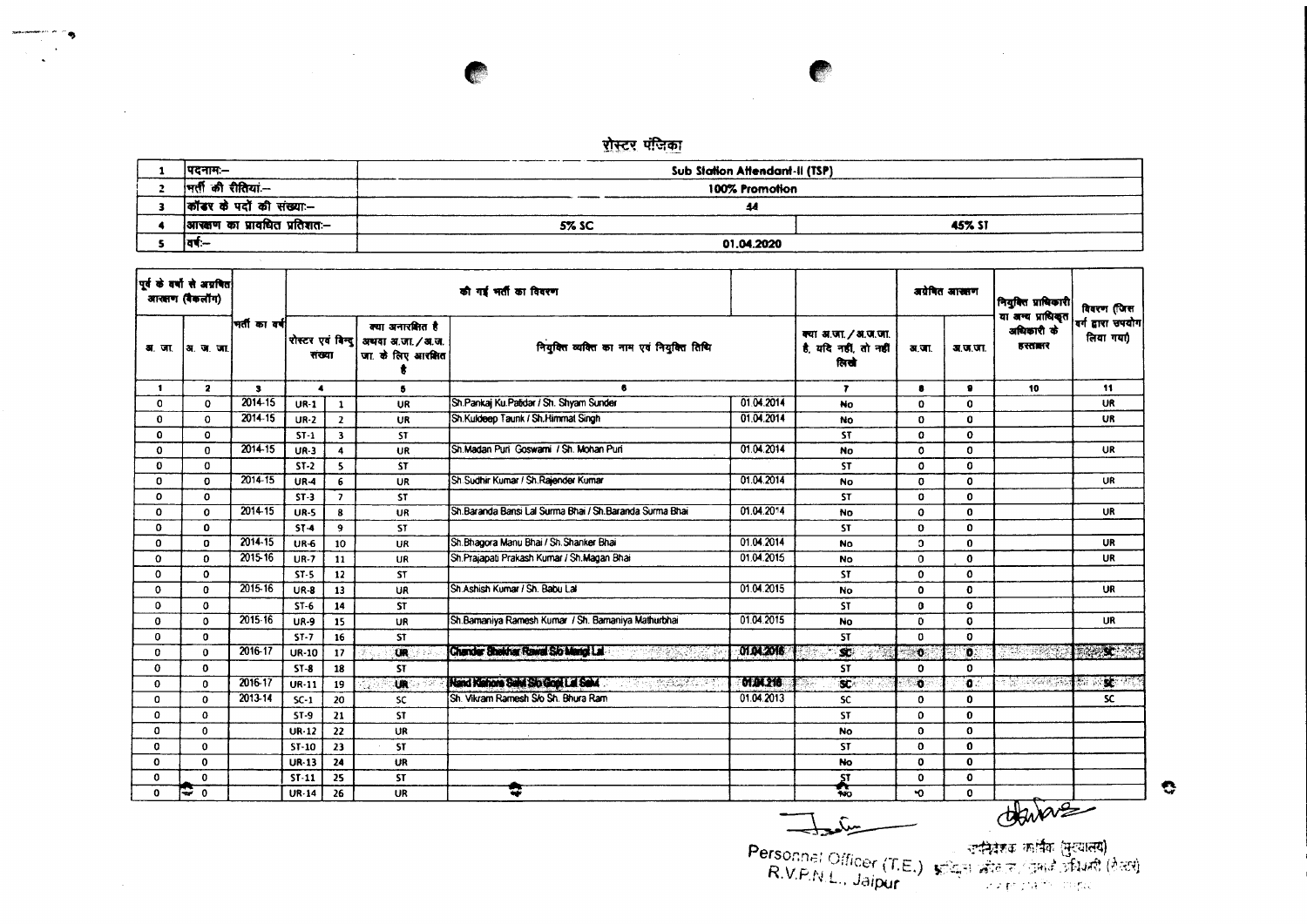-----\_ ~- Sub Stallon AHendant·1I (TSP) I  $\frac{100\%~\text{Promotion}}{44}$ .m.~\*~- - :I ~ amIIIVr -.r <sup>~</sup> ~- 5%SC I 45%ST  $\overline{\mathbf{s}}$ '":- 01.04.2020

| पूर्व के वर्षों से अग्रवित<br>आसाण (बैंकलॉग) |              |              |                  |                                                                                           |              | की गई भर्ती का विवरण                                    |                 |                                                       | अग्रेषित आखाण |              | मियुक्ति प्राधिकारी<br>या अन्य प्राधिकृत | विवरण (जिस<br>वर्ग द्वारा उपयोग<br>लिया गया)<br>11 |
|----------------------------------------------|--------------|--------------|------------------|-------------------------------------------------------------------------------------------|--------------|---------------------------------------------------------|-----------------|-------------------------------------------------------|---------------|--------------|------------------------------------------|----------------------------------------------------|
| अ.जा.                                        | ∣अ∴ज∴जा.     | मतीकावर्ष    |                  | क्या अनारक्षित है<br>रोस्टर एवं बिन्द<br>अथवा अ.जा. / अ.ज.<br>जा के लिए आरक्षित<br>राख्या |              | नियुक्ति व्यक्ति का नाम एवं नियुक्ति तिथि               |                 | क्या अ.जा. / अ.ज.जा.<br>है, यदि नहीं, तो नहीं<br>लिखे | अ.जा.         | अ.ज.जा.      | अधिकारी के<br>डरतालर                     |                                                    |
| $\blacksquare$                               | $\mathbf{2}$ | $\mathbf{3}$ | $\blacktriangle$ |                                                                                           | 5            | $\bullet$                                               |                 | $\overline{\mathbf{r}}$                               | 8             | $\bullet$    | 10                                       |                                                    |
| O                                            | 0            | 2014-15      | $UR-1$           | $\mathbf{1}$                                                                              | UR           | Sh.Pankaj Ku.Patidar / Sh. Shyam Sunder                 | 01.04.2014      | No                                                    | 0             | $\Omega$     |                                          | UR                                                 |
| $\Omega$                                     | $\Omega$     | 2014-15      | $UR-2$           | $\overline{2}$                                                                            | <b>UR</b>    | Sh.Kuldeep Taunk / Sh.Himmat Singh                      | 01.04.2014      | No                                                    | 0             | $\mathbf{0}$ |                                          | <b>UR</b>                                          |
| 0                                            | $\Omega$     |              | $ST-1$           | $\overline{\mathbf{3}}$                                                                   | <b>ST</b>    |                                                         |                 | <b>ST</b>                                             | 0             | $\Omega$     |                                          |                                                    |
| $\Omega$                                     | $\Omega$     | $2014 - 15$  | $UR-3$           | $\overline{\mathbf{4}}$                                                                   | UR           | Sh.Madan Puri Goswami / Sh. Mohan Puri                  | 01.04.2014      | No                                                    | 0             | $\Omega$     |                                          | UR.                                                |
| 0                                            | 0            |              | $ST-2$           | 5                                                                                         | <b>ST</b>    |                                                         |                 | <b>ST</b>                                             | 0             | $\mathbf{0}$ |                                          |                                                    |
| 0                                            | $\mathbf 0$  | 2014-15      | $UR-4$           | 6                                                                                         | UR           | Sh Sudhir Kumar / Sh Rajender Kumar                     | 01.04.2014      | No                                                    | 0             | $\mathbf 0$  |                                          | UR                                                 |
| ٥                                            | 0            |              | $ST-3$           | $\overline{ }$                                                                            | <b>ST</b>    |                                                         |                 | <b>ST</b>                                             | 0             | $\Omega$     |                                          |                                                    |
| 0                                            | $\mathbf{o}$ | 2014-15      | <b>UR-5</b>      | 8                                                                                         | UR           | Sh.Baranda Bansi Lal Surma Bhai / Sh.Baranda Surma Bhai | 01.04.2014      | No                                                    | $\bullet$     | $\Omega$     |                                          | <b>UR</b>                                          |
| $\mathbf 0$                                  | 0            |              | $ST-4$           | $\cdot$                                                                                   | ST           |                                                         |                 | <b>ST</b>                                             | 0             | $\mathbf{0}$ |                                          |                                                    |
| $\mathbf 0$                                  | 0            | 2014-15      | <b>UR-6</b>      | 10                                                                                        | <b>UR</b>    | Sh.Bhagora Manu Bhai / Sh.Shanker Bhai                  | 01.04.2014      | <b>No</b>                                             | o.            | $\mathbf{0}$ |                                          | <b>UR</b>                                          |
| $\Omega$                                     | $\Omega$     | 2015-16      | $UR-7$           | 11                                                                                        | UR           | Sh. Prajapati Prakash Kumar / Sh. Magan Bhai            | 01.04.2015      | <b>No</b>                                             | $\Omega$      | $\mathbf 0$  |                                          | <b>UR</b>                                          |
| $\Omega$                                     | $\Omega$     |              | $ST-5$           | 12                                                                                        | <b>ST</b>    |                                                         |                 | <b>ST</b>                                             | $\Omega$      | $\Omega$     |                                          |                                                    |
| $\Omega$                                     | $\Omega$     | 2015-16      | <b>UR-8</b>      | 13                                                                                        | UR           | Sh Ashish Kumar / Sh. Babu Lal                          | 01.04.2015      | <b>No</b>                                             | $\mathbf 0$   | $\Omega$     |                                          | <b>UR</b>                                          |
| $\Omega$                                     | $\mathbf o$  |              | $ST-6$           | 14                                                                                        | <b>ST</b>    |                                                         |                 | <b>ST</b>                                             | $\bf{0}$      | $\mathbf o$  |                                          |                                                    |
| $\Omega$                                     | $\Omega$     | 2015-16      | <b>UR-9</b>      | 15                                                                                        | UR           | Sh.Bamaniya Ramesh Kumar / Sh. Bamaniya Mathurbhai      | 01.04.2015      | <b>No</b>                                             | $\Omega$      | $\mathbf 0$  |                                          | <b>UR</b>                                          |
| 0                                            | $\mathbf 0$  |              | $ST-7$           | 16                                                                                        | <b>ST</b>    |                                                         |                 | <b>ST</b>                                             | 0             | $\mathbf{o}$ |                                          |                                                    |
| 0                                            | $\mathbf 0$  | 2016-17      | <b>UR-10</b>     | 17                                                                                        | $\mathbf{U}$ | Chander Shercher Rawal Sio Mario La                     | 0104.2016       | $\mathbf{x}$<br>i Signe                               | . 6.          | $\mathbf{D}$ | START REPORT                             | <b>Die SC 1</b>                                    |
| $\Omega$                                     | $\mathbf 0$  |              | $ST-8$           | 18                                                                                        | <b>ST</b>    |                                                         |                 | <b>ST</b>                                             | $\Omega$      | $\mathbf 0$  |                                          |                                                    |
| 0                                            | $\Omega$     | 2016-17      | $UR-11$          | 19                                                                                        | <b>UR</b>    | Nand Kahora Sawi Sio Gogi La Sawi<br><b>TARASHER</b>    | <b>DIDA 218</b> | $\mathbf{r}$                                          | $\mathbf{a}$  | io :         |                                          | <b>SECTION</b><br><b>SANCE AND</b>                 |
| 0                                            | $\Omega$     | $2013 - 14$  | $SC-1$           | -20                                                                                       | <b>SC</b>    | Sh. Vikram Ramesh S/o Sh. Bhura Ram                     | 01.04.2013      | <b>SC</b>                                             | 0             | $\mathbf 0$  |                                          | SC.                                                |
| 0                                            | $\Omega$     |              | $ST-9$           | 21                                                                                        | <b>ST</b>    |                                                         |                 | <b>ST</b>                                             | $\Omega$      | $\mathbf{0}$ |                                          |                                                    |
| 0                                            | $\mathbf{0}$ |              | $UR-12$          | 22                                                                                        | UR           |                                                         |                 | <b>No</b>                                             | $\mathbf{0}$  | $\mathbf 0$  |                                          |                                                    |
| 0                                            | $\mathbf{o}$ |              | $ST-10$          | 23                                                                                        | <b>ST</b>    |                                                         |                 | <b>ST</b>                                             | 0             | $\mathbf 0$  |                                          |                                                    |
| $\Omega$                                     | $\mathbf{0}$ |              | <b>UR-13</b>     | 24                                                                                        | UR           |                                                         |                 | <b>No</b>                                             | 0             | $\mathbf 0$  |                                          |                                                    |
| $\Omega$                                     | $\bf{0}$     |              | ST-11            | 25                                                                                        | <b>ST</b>    |                                                         |                 | <b>ST</b>                                             | 0             | $\mathbf{o}$ |                                          |                                                    |
| 0                                            | ೯೯ ೧         |              | UR-14            | 26                                                                                        | UR           |                                                         |                 | 霓                                                     | 0             | $\Omega$     |                                          |                                                    |

 $\bullet$ 

(